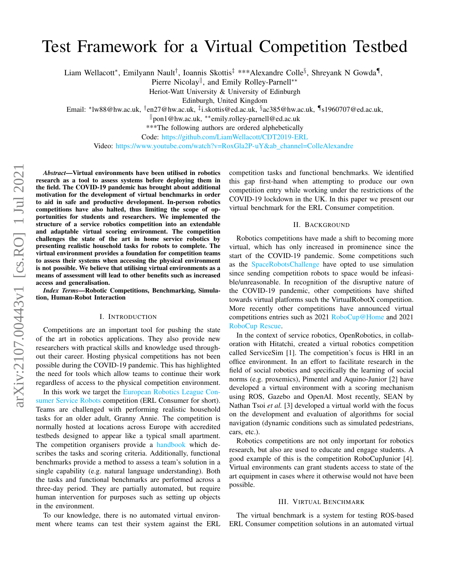# arXiv:2107.00443v1 [cs.RO] 1 Jul 2021 arXiv:2107.00443v1 [cs.RO] 1 Jul 2021

# Test Framework for a Virtual Competition Testbed

Liam Wellacott\*, Emilyann Nault<sup>†</sup>, Ioannis Skottis<sup>‡</sup> \*\*\*Alexandre Colle<sup>§</sup>, Shreyank N Gowda¶,

Pierre Nicolay<sup>||</sup>, and Emily Rolley-Parnell<sup>∗∗</sup>

Heriot-Watt University & University of Edinburgh

Edinburgh, United Kingdom

Email: \*lw88@hw.ac.uk, <sup>†</sup>en27@hw.ac.uk, <sup>‡</sup>i.skottis@ed.ac.uk, <sup>§</sup>ac385@hw.ac.uk, ¶s1960707@ed.ac.uk,

<sup>k</sup>pon1@hw.ac.uk, ∗∗emily.rolley-parnell@ed.ac.uk

\*\*\*The following authors are ordered alphebetically

Code: <https://github.com/LiamWellacott/CDT2019-ERL>

Video: [https://www.youtube.com/watch?v=RoxGla2P-uY&ab](https://www.youtube.com/watch?v=RoxGla2P-uY&ab_channel=ColleAlexandre) channel=ColleAlexandre

*Abstract*—Virtual environments have been utilised in robotics research as a tool to assess systems before deploying them in the field. The COVID-19 pandemic has brought about additional motivation for the development of virtual benchmarks in order to aid in safe and productive development. In-person robotics competitions have also halted, thus limiting the scope of opportunities for students and researchers. We implemented the structure of a service robotics competition into an extendable and adaptable virtual scoring environment. The competition challenges the state of the art in home service robotics by presenting realistic household tasks for robots to complete. The virtual environment provides a foundation for competition teams to assess their systems when accessing the physical environment is not possible. We believe that utilising virtual environments as a means of assessment will lead to other benefits such as increased access and generalisation.

*Index Terms*—Robotic Competitions, Benchmarking, Simulation, Human-Robot Interaction

# I. INTRODUCTION

Competitions are an important tool for pushing the state of the art in robotics applications. They also provide new researchers with practical skills and knowledge used throughout their career. Hosting physical competitions has not been possible during the COVID-19 pandemic. This has highlighted the need for tools which allow teams to continue their work regardless of access to the physical competition environment.

In this work we target the [European Robotics League Con](https://www.eu-robotics.net/robotics_league/)[sumer Service Robots](https://www.eu-robotics.net/robotics_league/) competition (ERL Consumer for short). Teams are challenged with performing realistic household tasks for an older adult, Granny Annie. The competition is normally hosted at locations across Europe with accredited testbeds designed to appear like a typical small apartment. The competition organisers provide a [handbook](https://www.eu-robotics.net/robotics_league/upload/documents-2018/ERL_Consumer_10092018.pdf) which describes the tasks and scoring criteria. Additionally, functional benchmarks provide a method to assess a team's solution in a single capability (e.g. natural language understanding). Both the tasks and functional benchmarks are performed across a three-day period. They are partially automated, but require human intervention for purposes such as setting up objects in the environment.

To our knowledge, there is no automated virtual environment where teams can test their system against the ERL competition tasks and functional benchmarks. We identified this gap first-hand when attempting to produce our own competition entry while working under the restrictions of the COVID-19 lockdown in the UK. In this paper we present our virtual benchmark for the ERL Consumer competition.

### II. BACKGROUND

Robotics competitions have made a shift to becoming more virtual, which has only increased in prominence since the start of the COVID-19 pandemic. Some competitions such as the [SpaceRobotsChallenge](www.spaceroboticschallenge.com) have opted to use simulation since sending competition robots to space would be infeasible/unreasonable. In recognition of the disruptive nature of the COVID-19 pandemic, other competitions have shifted towards virtual platforms such the VirtualRobotX competition. More recently other competitions have announced virtual competitions entries such as 2021 [RoboCup@Home](https://athome.robocup.org/) and 2021 [RoboCup Rescue.](https://www.robocup.org/domains/2)

In the context of service robotics, OpenRobotics, in collaboration with Hitatchi, created a virtual robotics competition called ServiceSim [\[1\]](#page-1-0). The competition's focus is HRI in an office environment. In an effort to facilitate research in the field of social robotics and specifically the learning of social norms (e.g. proxemics), Pimentel and Aquino-Junior [\[2\]](#page-1-1) have developed a virtual environment with a scoring mechanism using ROS, Gazebo and OpenAI. Most recently, SEAN by Nathan Tsoi *et al.* [\[3\]](#page-1-2) developed a virtual world with the focus on the development and evaluation of algorithms for social navigation (dynamic conditions such as simulated pedestrians, cars, etc.).

Robotics competitions are not only important for robotics research, but also are used to educate and engage students. A good example of this is the competition RoboCupJunior [\[4\]](#page-1-3). Virtual environments can grant students access to state of the art equipment in cases where it otherwise would not have been possible.

### III. VIRTUAL BENCHMARK

The virtual benchmark is a system for testing ROS-based ERL Consumer competition solutions in an automated virtual